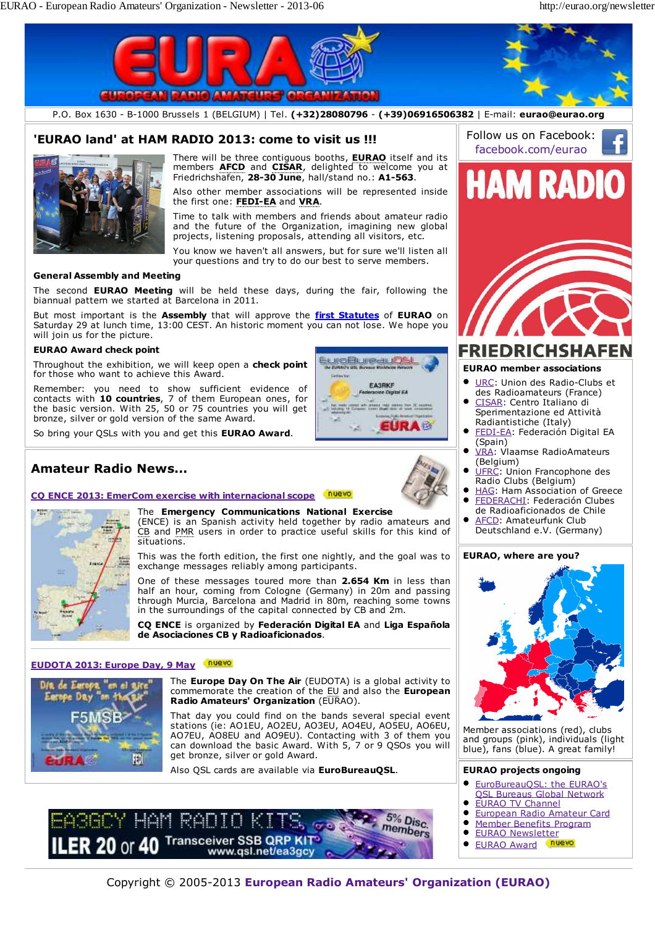